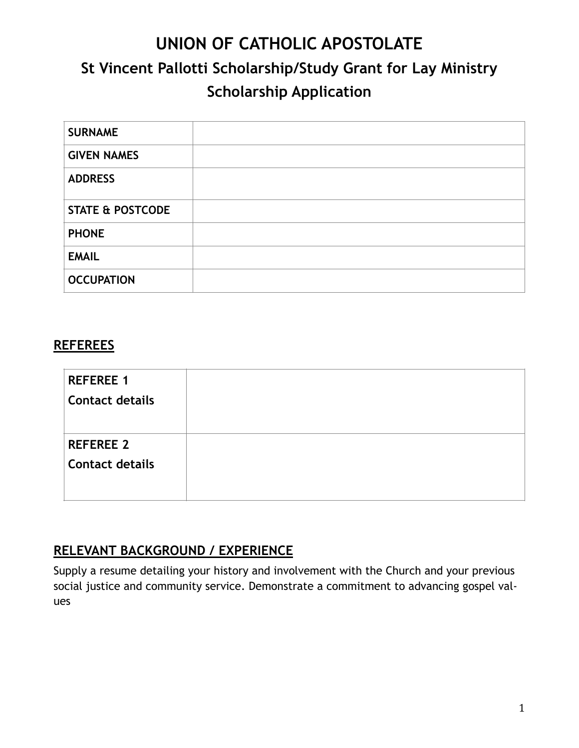# **UNION OF CATHOLIC APOSTOLATE St Vincent Pallotti Scholarship/Study Grant for Lay Ministry Scholarship Application**

| <b>SURNAME</b>              |  |
|-----------------------------|--|
| <b>GIVEN NAMES</b>          |  |
| <b>ADDRESS</b>              |  |
| <b>STATE &amp; POSTCODE</b> |  |
| <b>PHONE</b>                |  |
| <b>EMAIL</b>                |  |
| <b>OCCUPATION</b>           |  |

#### **REFEREES**

| <b>REFEREE 1</b>       |  |
|------------------------|--|
| <b>Contact details</b> |  |
|                        |  |
| <b>REFEREE 2</b>       |  |
| <b>Contact details</b> |  |
|                        |  |
|                        |  |

## **RELEVANT BACKGROUND / EXPERIENCE**

Supply a resume detailing your history and involvement with the Church and your previous social justice and community service. Demonstrate a commitment to advancing gospel values